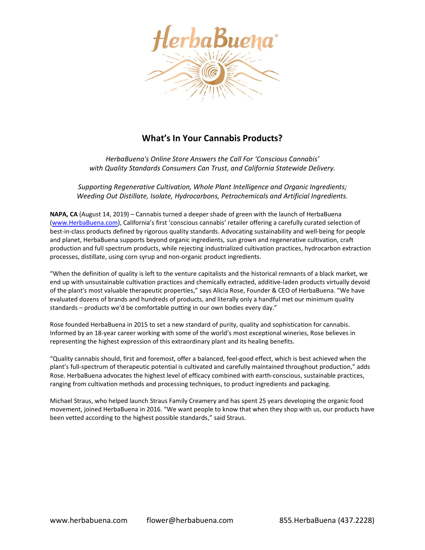

## **What's In Your Cannabis Products?**

*HerbaBuena's Online Store Answers the Call For 'Conscious Cannabis' with Quality Standards Consumers Can Trust, and California Statewide Delivery.*

*Supporting Regenerative Cultivation, Whole Plant Intelligence and Organic Ingredients; Weeding Out Distillate, Isolate, Hydrocarbons, Petrochemicals and Artificial Ingredients.*

**NAPA, CA** (August 14, 2019) – Cannabis turned a deeper shade of green with the launch of HerbaBuena [\(www.HerbaBuena.com\)](http://www.herbabuena.com/), California's first 'conscious cannabis' retailer offering a carefully curated selection of best-in-class products defined by rigorous quality standards. Advocating sustainability and well-being for people and planet, HerbaBuena supports beyond organic ingredients, sun grown and regenerative cultivation, craft production and full spectrum products, while rejecting industrialized cultivation practices, hydrocarbon extraction processes, distillate, using corn syrup and non-organic product ingredients.

"When the definition of quality is left to the venture capitalists and the historical remnants of a black market, we end up with unsustainable cultivation practices and chemically extracted, additive-laden products virtually devoid of the plant's most valuable therapeutic properties," says Alicia Rose, Founder & CEO of HerbaBuena. "We have evaluated dozens of brands and hundreds of products, and literally only a handful met our minimum quality standards – products we'd be comfortable putting in our own bodies every day."

Rose founded HerbaBuena in 2015 to set a new standard of purity, quality and sophistication for cannabis. Informed by an 18-year career working with some of the world's most exceptional wineries, Rose believes in representing the highest expression of this extraordinary plant and its healing benefits.

"Quality cannabis should, first and foremost, offer a balanced, feel-good effect, which is best achieved when the plant's full-spectrum of therapeutic potential is cultivated and carefully maintained throughout production," adds Rose. HerbaBuena advocates the highest level of efficacy combined with earth-conscious, sustainable practices, ranging from cultivation methods and processing techniques, to product ingredients and packaging.

Michael Straus, who helped launch Straus Family Creamery and has spent 25 years developing the organic food movement, joined HerbaBuena in 2016. "We want people to know that when they shop with us, our products have been vetted according to the highest possible standards," said Straus.